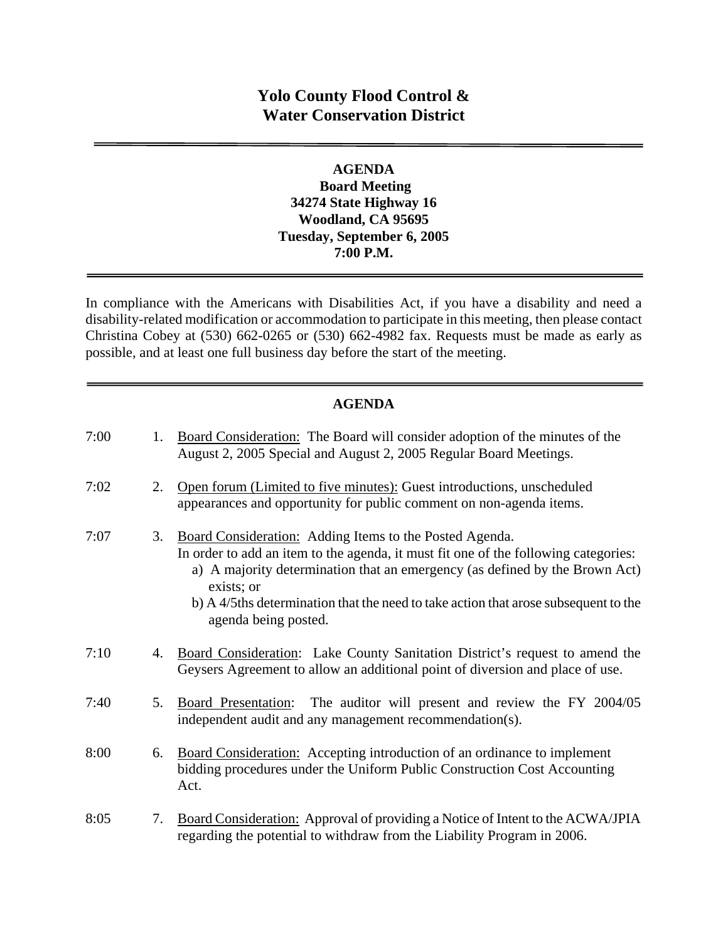# **Yolo County Flood Control & Water Conservation District**

## **AGENDA Board Meeting 34274 State Highway 16 Woodland, CA 95695 Tuesday, September 6, 2005 7:00 P.M.**

In compliance with the Americans with Disabilities Act, if you have a disability and need a disability-related modification or accommodation to participate in this meeting, then please contact Christina Cobey at (530) 662-0265 or (530) 662-4982 fax. Requests must be made as early as possible, and at least one full business day before the start of the meeting.

## **AGENDA**

| 7:00 | 1. | Board Consideration: The Board will consider adoption of the minutes of the<br>August 2, 2005 Special and August 2, 2005 Regular Board Meetings.                                                                                                                                                                                                           |
|------|----|------------------------------------------------------------------------------------------------------------------------------------------------------------------------------------------------------------------------------------------------------------------------------------------------------------------------------------------------------------|
| 7:02 | 2. | Open forum (Limited to five minutes): Guest introductions, unscheduled<br>appearances and opportunity for public comment on non-agenda items.                                                                                                                                                                                                              |
| 7:07 | 3. | Board Consideration: Adding Items to the Posted Agenda.<br>In order to add an item to the agenda, it must fit one of the following categories:<br>a) A majority determination that an emergency (as defined by the Brown Act)<br>exists; or<br>b) A 4/5ths determination that the need to take action that arose subsequent to the<br>agenda being posted. |
| 7:10 | 4. | Board Consideration: Lake County Sanitation District's request to amend the<br>Geysers Agreement to allow an additional point of diversion and place of use.                                                                                                                                                                                               |
| 7:40 | 5. | The auditor will present and review the FY 2004/05<br>Board Presentation:<br>independent audit and any management recommendation(s).                                                                                                                                                                                                                       |
| 8:00 | 6. | <b>Board Consideration:</b> Accepting introduction of an ordinance to implement<br>bidding procedures under the Uniform Public Construction Cost Accounting<br>Act.                                                                                                                                                                                        |
| 8:05 | 7. | Board Consideration: Approval of providing a Notice of Intent to the ACWA/JPIA<br>regarding the potential to withdraw from the Liability Program in 2006.                                                                                                                                                                                                  |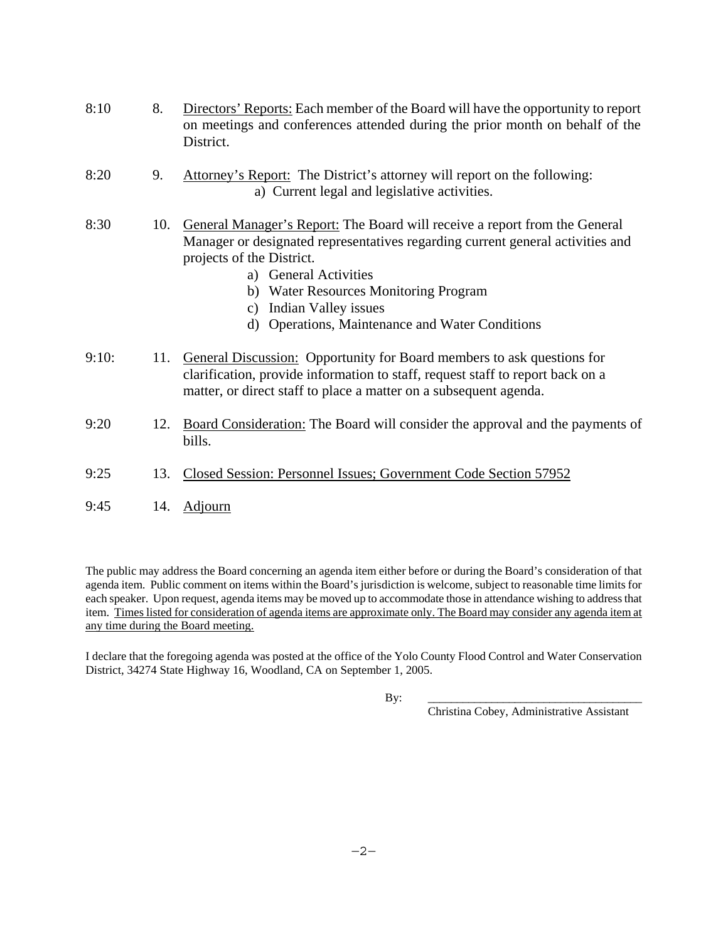| 8:10  | 8.  | Directors' Reports: Each member of the Board will have the opportunity to report<br>on meetings and conferences attended during the prior month on behalf of the<br>District.                                                                                                                                                                                   |
|-------|-----|-----------------------------------------------------------------------------------------------------------------------------------------------------------------------------------------------------------------------------------------------------------------------------------------------------------------------------------------------------------------|
| 8:20  | 9.  | Attorney's Report: The District's attorney will report on the following:<br>a) Current legal and legislative activities.                                                                                                                                                                                                                                        |
| 8:30  | 10. | General Manager's Report: The Board will receive a report from the General<br>Manager or designated representatives regarding current general activities and<br>projects of the District.<br>a) General Activities<br>b) Water Resources Monitoring Program<br>Indian Valley issues<br>$\mathbf{c})$<br>Operations, Maintenance and Water Conditions<br>$\rm d$ |
| 9:10: | 11. | General Discussion: Opportunity for Board members to ask questions for<br>clarification, provide information to staff, request staff to report back on a<br>matter, or direct staff to place a matter on a subsequent agenda.                                                                                                                                   |
| 9:20  | 12. | Board Consideration: The Board will consider the approval and the payments of<br>bills.                                                                                                                                                                                                                                                                         |
| 9:25  | 13. | Closed Session: Personnel Issues; Government Code Section 57952                                                                                                                                                                                                                                                                                                 |
| 9:45  | 14. | Adjourn                                                                                                                                                                                                                                                                                                                                                         |

The public may address the Board concerning an agenda item either before or during the Board's consideration of that agenda item. Public comment on items within the Board's jurisdiction is welcome, subject to reasonable time limits for each speaker. Upon request, agenda items may be moved up to accommodate those in attendance wishing to address that item. Times listed for consideration of agenda items are approximate only. The Board may consider any agenda item at any time during the Board meeting.

I declare that the foregoing agenda was posted at the office of the Yolo County Flood Control and Water Conservation District, 34274 State Highway 16, Woodland, CA on September 1, 2005.

By: \_\_\_\_\_\_\_\_\_\_\_\_\_\_\_\_\_\_\_\_\_\_\_\_\_\_\_\_\_\_\_\_\_\_\_\_\_

Christina Cobey, Administrative Assistant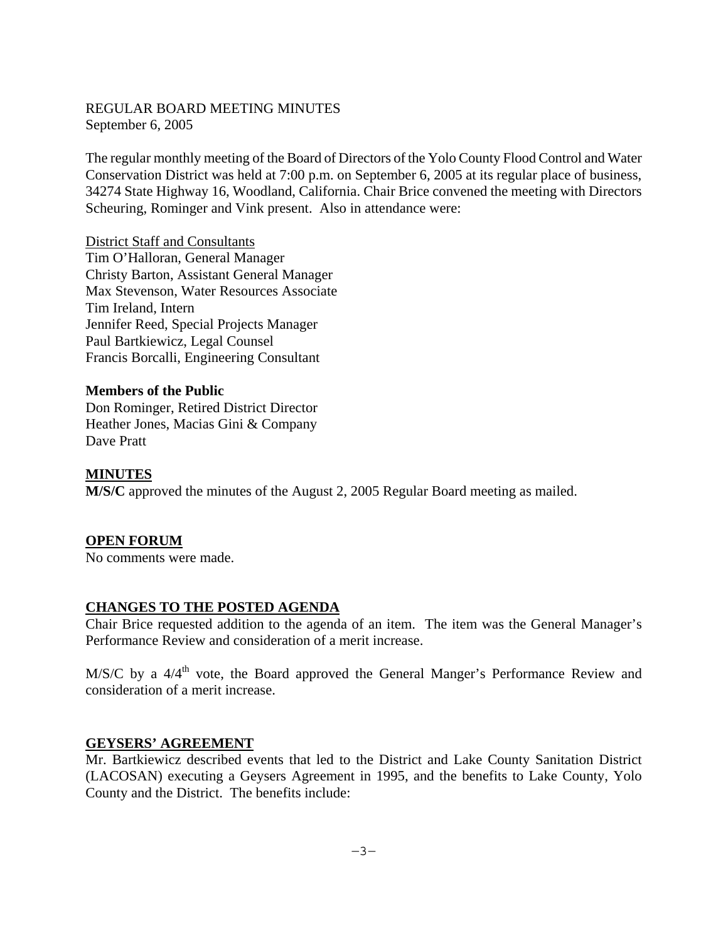## REGULAR BOARD MEETING MINUTES September 6, 2005

The regular monthly meeting of the Board of Directors of the Yolo County Flood Control and Water Conservation District was held at 7:00 p.m. on September 6, 2005 at its regular place of business, 34274 State Highway 16, Woodland, California. Chair Brice convened the meeting with Directors Scheuring, Rominger and Vink present. Also in attendance were:

District Staff and Consultants Tim O'Halloran, General Manager Christy Barton, Assistant General Manager Max Stevenson, Water Resources Associate Tim Ireland, Intern Jennifer Reed, Special Projects Manager Paul Bartkiewicz, Legal Counsel Francis Borcalli, Engineering Consultant

### **Members of the Public**

Don Rominger, Retired District Director Heather Jones, Macias Gini & Company Dave Pratt

### **MINUTES**

**M/S/C** approved the minutes of the August 2, 2005 Regular Board meeting as mailed.

#### **OPEN FORUM**

No comments were made.

#### **CHANGES TO THE POSTED AGENDA**

Chair Brice requested addition to the agenda of an item. The item was the General Manager's Performance Review and consideration of a merit increase.

 $M/S/C$  by a  $4/4<sup>th</sup>$  vote, the Board approved the General Manger's Performance Review and consideration of a merit increase.

#### **GEYSERS' AGREEMENT**

Mr. Bartkiewicz described events that led to the District and Lake County Sanitation District (LACOSAN) executing a Geysers Agreement in 1995, and the benefits to Lake County, Yolo County and the District. The benefits include: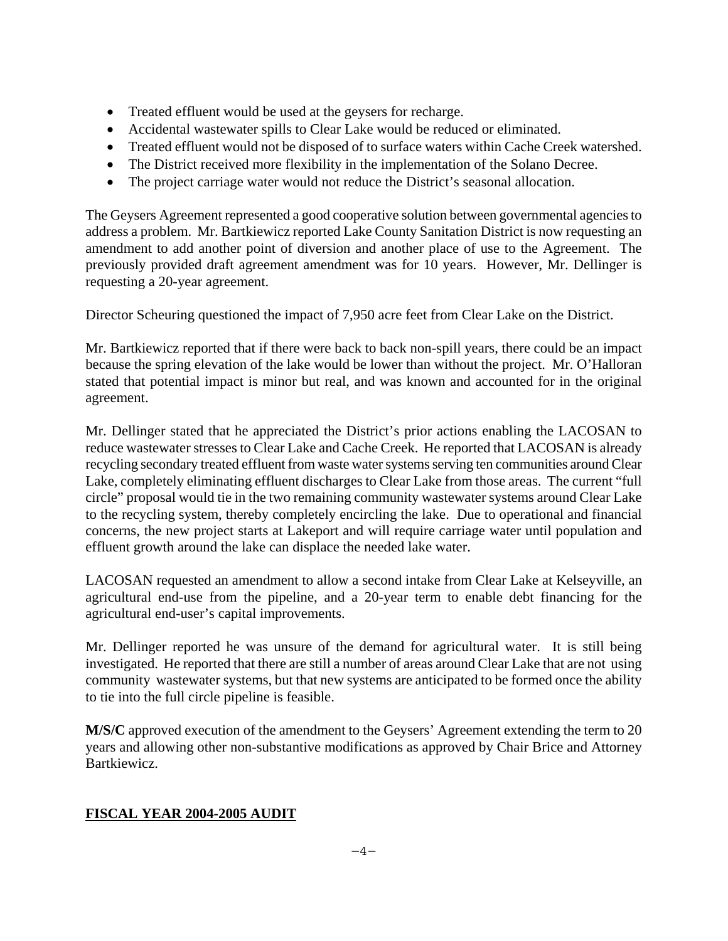- Treated effluent would be used at the geysers for recharge.
- Accidental wastewater spills to Clear Lake would be reduced or eliminated.
- Treated effluent would not be disposed of to surface waters within Cache Creek watershed.
- The District received more flexibility in the implementation of the Solano Decree.
- The project carriage water would not reduce the District's seasonal allocation.

The Geysers Agreement represented a good cooperative solution between governmental agencies to address a problem. Mr. Bartkiewicz reported Lake County Sanitation District is now requesting an amendment to add another point of diversion and another place of use to the Agreement. The previously provided draft agreement amendment was for 10 years. However, Mr. Dellinger is requesting a 20-year agreement.

Director Scheuring questioned the impact of 7,950 acre feet from Clear Lake on the District.

Mr. Bartkiewicz reported that if there were back to back non-spill years, there could be an impact because the spring elevation of the lake would be lower than without the project. Mr. O'Halloran stated that potential impact is minor but real, and was known and accounted for in the original agreement.

Mr. Dellinger stated that he appreciated the District's prior actions enabling the LACOSAN to reduce wastewater stresses to Clear Lake and Cache Creek. He reported that LACOSAN is already recycling secondary treated effluent from waste water systems serving ten communities around Clear Lake, completely eliminating effluent discharges to Clear Lake from those areas. The current "full circle" proposal would tie in the two remaining community wastewater systems around Clear Lake to the recycling system, thereby completely encircling the lake. Due to operational and financial concerns, the new project starts at Lakeport and will require carriage water until population and effluent growth around the lake can displace the needed lake water.

LACOSAN requested an amendment to allow a second intake from Clear Lake at Kelseyville, an agricultural end-use from the pipeline, and a 20-year term to enable debt financing for the agricultural end-user's capital improvements.

Mr. Dellinger reported he was unsure of the demand for agricultural water. It is still being investigated. He reported that there are still a number of areas around Clear Lake that are not using community wastewater systems, but that new systems are anticipated to be formed once the ability to tie into the full circle pipeline is feasible.

**M/S/C** approved execution of the amendment to the Geysers' Agreement extending the term to 20 years and allowing other non-substantive modifications as approved by Chair Brice and Attorney Bartkiewicz.

## **FISCAL YEAR 2004-2005 AUDIT**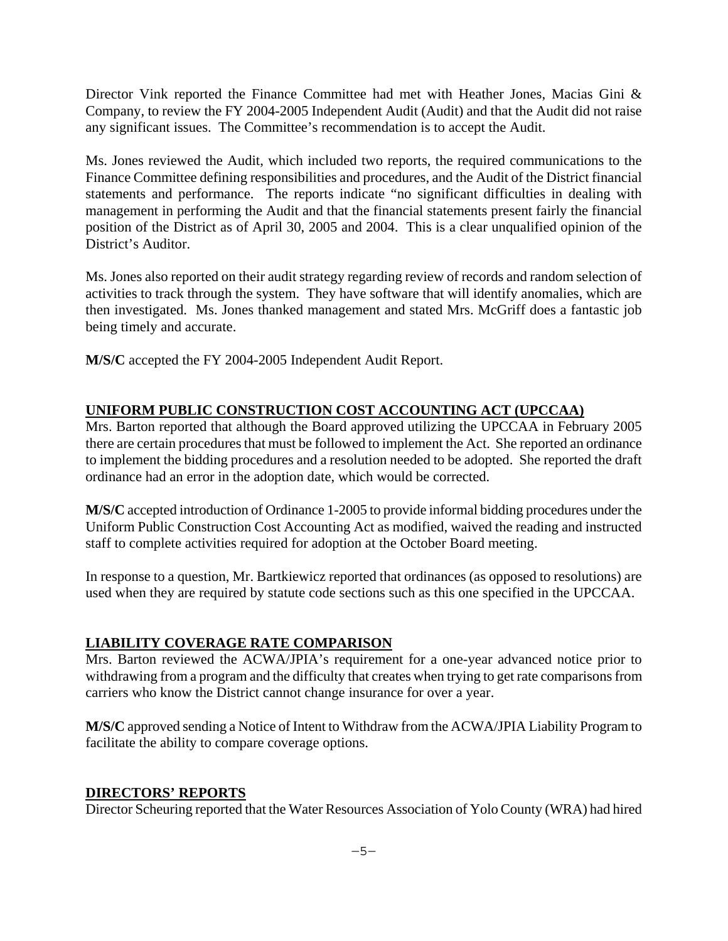Director Vink reported the Finance Committee had met with Heather Jones, Macias Gini & Company, to review the FY 2004-2005 Independent Audit (Audit) and that the Audit did not raise any significant issues. The Committee's recommendation is to accept the Audit.

Ms. Jones reviewed the Audit, which included two reports, the required communications to the Finance Committee defining responsibilities and procedures, and the Audit of the District financial statements and performance. The reports indicate "no significant difficulties in dealing with management in performing the Audit and that the financial statements present fairly the financial position of the District as of April 30, 2005 and 2004. This is a clear unqualified opinion of the District's Auditor.

Ms. Jones also reported on their audit strategy regarding review of records and random selection of activities to track through the system. They have software that will identify anomalies, which are then investigated. Ms. Jones thanked management and stated Mrs. McGriff does a fantastic job being timely and accurate.

**M/S/C** accepted the FY 2004-2005 Independent Audit Report.

## **UNIFORM PUBLIC CONSTRUCTION COST ACCOUNTING ACT (UPCCAA)**

Mrs. Barton reported that although the Board approved utilizing the UPCCAA in February 2005 there are certain procedures that must be followed to implement the Act. She reported an ordinance to implement the bidding procedures and a resolution needed to be adopted. She reported the draft ordinance had an error in the adoption date, which would be corrected.

**M/S/C** accepted introduction of Ordinance 1-2005 to provide informal bidding procedures under the Uniform Public Construction Cost Accounting Act as modified, waived the reading and instructed staff to complete activities required for adoption at the October Board meeting.

In response to a question, Mr. Bartkiewicz reported that ordinances (as opposed to resolutions) are used when they are required by statute code sections such as this one specified in the UPCCAA.

## **LIABILITY COVERAGE RATE COMPARISON**

Mrs. Barton reviewed the ACWA/JPIA's requirement for a one-year advanced notice prior to withdrawing from a program and the difficulty that creates when trying to get rate comparisons from carriers who know the District cannot change insurance for over a year.

**M/S/C** approved sending a Notice of Intent to Withdraw from the ACWA/JPIA Liability Program to facilitate the ability to compare coverage options.

## **DIRECTORS' REPORTS**

Director Scheuring reported that the Water Resources Association of Yolo County (WRA) had hired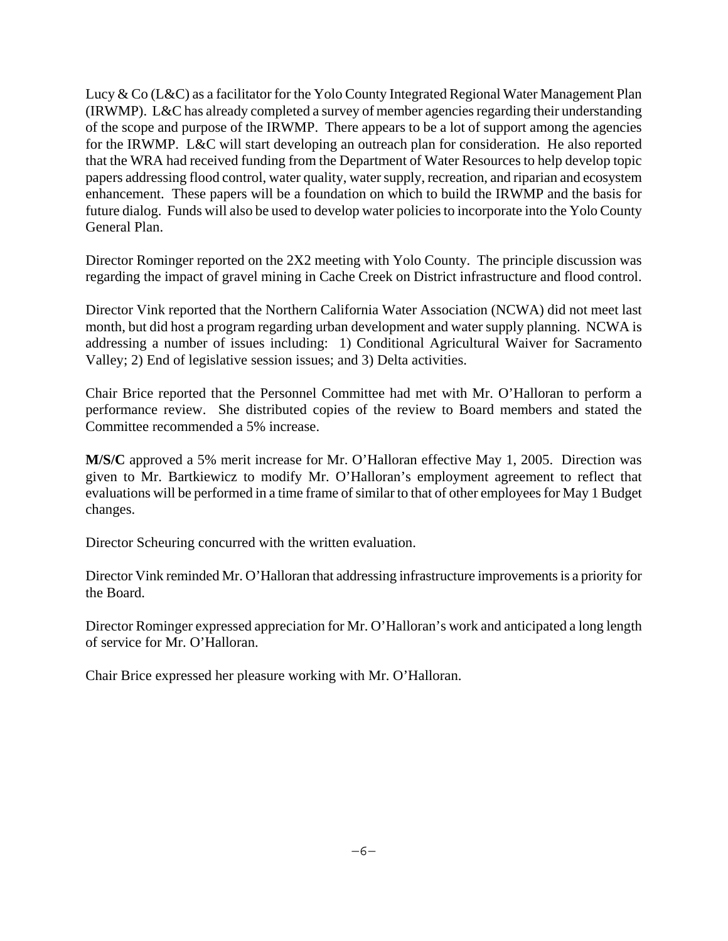Lucy & Co (L&C) as a facilitator for the Yolo County Integrated Regional Water Management Plan (IRWMP). L&C has already completed a survey of member agencies regarding their understanding of the scope and purpose of the IRWMP. There appears to be a lot of support among the agencies for the IRWMP. L&C will start developing an outreach plan for consideration. He also reported that the WRA had received funding from the Department of Water Resources to help develop topic papers addressing flood control, water quality, water supply, recreation, and riparian and ecosystem enhancement. These papers will be a foundation on which to build the IRWMP and the basis for future dialog. Funds will also be used to develop water policies to incorporate into the Yolo County General Plan.

Director Rominger reported on the 2X2 meeting with Yolo County. The principle discussion was regarding the impact of gravel mining in Cache Creek on District infrastructure and flood control.

Director Vink reported that the Northern California Water Association (NCWA) did not meet last month, but did host a program regarding urban development and water supply planning. NCWA is addressing a number of issues including: 1) Conditional Agricultural Waiver for Sacramento Valley; 2) End of legislative session issues; and 3) Delta activities.

Chair Brice reported that the Personnel Committee had met with Mr. O'Halloran to perform a performance review. She distributed copies of the review to Board members and stated the Committee recommended a 5% increase.

**M/S/C** approved a 5% merit increase for Mr. O'Halloran effective May 1, 2005. Direction was given to Mr. Bartkiewicz to modify Mr. O'Halloran's employment agreement to reflect that evaluations will be performed in a time frame of similar to that of other employees for May 1 Budget changes.

Director Scheuring concurred with the written evaluation.

Director Vink reminded Mr. O'Halloran that addressing infrastructure improvements is a priority for the Board.

Director Rominger expressed appreciation for Mr. O'Halloran's work and anticipated a long length of service for Mr. O'Halloran.

Chair Brice expressed her pleasure working with Mr. O'Halloran.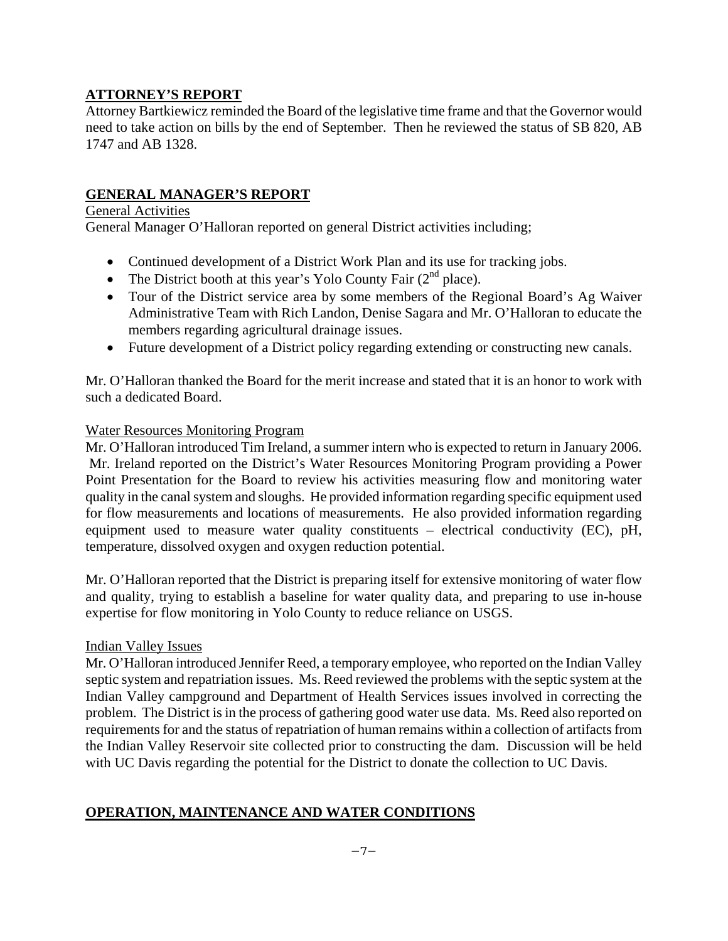## **ATTORNEY'S REPORT**

Attorney Bartkiewicz reminded the Board of the legislative time frame and that the Governor would need to take action on bills by the end of September. Then he reviewed the status of SB 820, AB 1747 and AB 1328.

## **GENERAL MANAGER'S REPORT**

### General Activities

General Manager O'Halloran reported on general District activities including;

- Continued development of a District Work Plan and its use for tracking jobs.
- The District booth at this year's Yolo County Fair  $(2<sup>nd</sup>$  place).
- Tour of the District service area by some members of the Regional Board's Ag Waiver Administrative Team with Rich Landon, Denise Sagara and Mr. O'Halloran to educate the members regarding agricultural drainage issues.
- Future development of a District policy regarding extending or constructing new canals.

Mr. O'Halloran thanked the Board for the merit increase and stated that it is an honor to work with such a dedicated Board.

### Water Resources Monitoring Program

Mr. O'Halloran introduced Tim Ireland, a summer intern who is expected to return in January 2006. Mr. Ireland reported on the District's Water Resources Monitoring Program providing a Power Point Presentation for the Board to review his activities measuring flow and monitoring water quality in the canal system and sloughs. He provided information regarding specific equipment used for flow measurements and locations of measurements. He also provided information regarding equipment used to measure water quality constituents – electrical conductivity (EC), pH, temperature, dissolved oxygen and oxygen reduction potential.

Mr. O'Halloran reported that the District is preparing itself for extensive monitoring of water flow and quality, trying to establish a baseline for water quality data, and preparing to use in-house expertise for flow monitoring in Yolo County to reduce reliance on USGS.

#### Indian Valley Issues

Mr. O'Halloran introduced Jennifer Reed, a temporary employee, who reported on the Indian Valley septic system and repatriation issues. Ms. Reed reviewed the problems with the septic system at the Indian Valley campground and Department of Health Services issues involved in correcting the problem. The District is in the process of gathering good water use data. Ms. Reed also reported on requirements for and the status of repatriation of human remains within a collection of artifacts from the Indian Valley Reservoir site collected prior to constructing the dam. Discussion will be held with UC Davis regarding the potential for the District to donate the collection to UC Davis.

## **OPERATION, MAINTENANCE AND WATER CONDITIONS**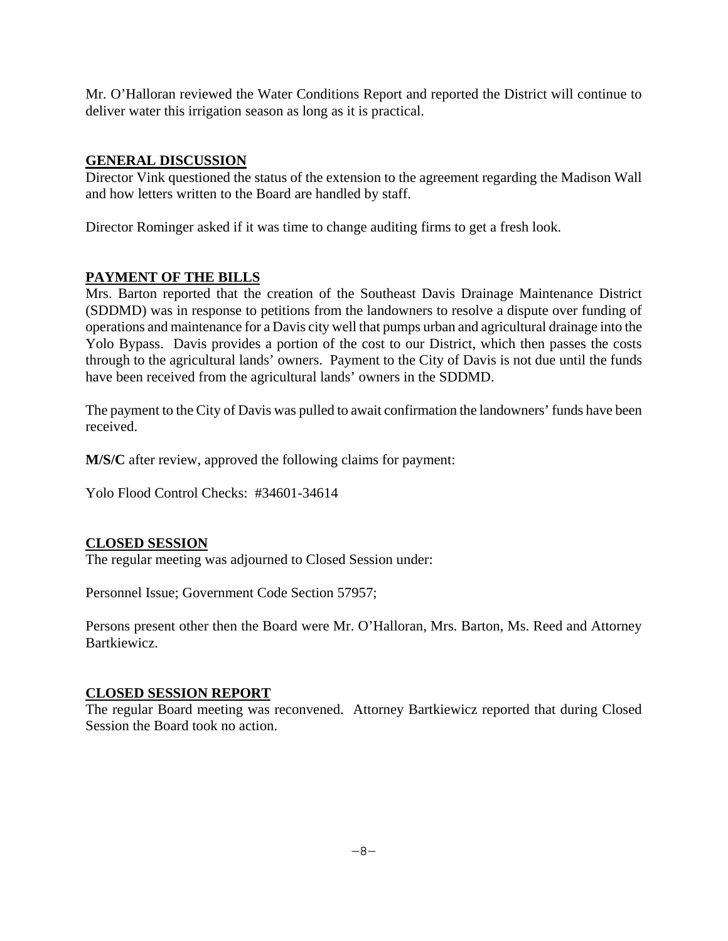Mr. O'Halloran reviewed the Water Conditions Report and reported the District will continue to deliver water this irrigation season as long as it is practical.

## **GENERAL DISCUSSION**

Director Vink questioned the status of the extension to the agreement regarding the Madison Wall and how letters written to the Board are handled by staff.

Director Rominger asked if it was time to change auditing firms to get a fresh look.

## **PAYMENT OF THE BILLS**

Mrs. Barton reported that the creation of the Southeast Davis Drainage Maintenance District (SDDMD) was in response to petitions from the landowners to resolve a dispute over funding of operations and maintenance for a Davis city well that pumps urban and agricultural drainage into the Yolo Bypass. Davis provides a portion of the cost to our District, which then passes the costs through to the agricultural lands' owners. Payment to the City of Davis is not due until the funds have been received from the agricultural lands' owners in the SDDMD.

The payment to the City of Davis was pulled to await confirmation the landowners' funds have been received.

**M/S/C** after review, approved the following claims for payment:

Yolo Flood Control Checks: #34601-34614

## **CLOSED SESSION**

The regular meeting was adjourned to Closed Session under:

Personnel Issue; Government Code Section 57957;

Persons present other then the Board were Mr. O'Halloran, Mrs. Barton, Ms. Reed and Attorney Bartkiewicz.

#### **CLOSED SESSION REPORT**

The regular Board meeting was reconvened. Attorney Bartkiewicz reported that during Closed Session the Board took no action.